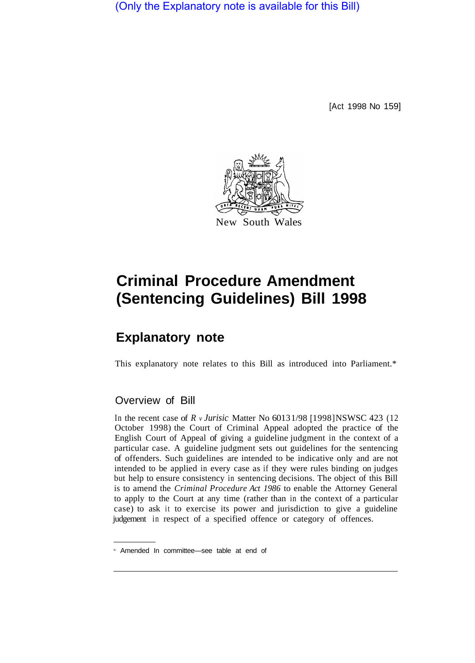(Only the Explanatory note is available for this Bill)

[Act 1998 No 159]



## **Criminal Procedure Amendment (Sentencing Guidelines) Bill 1998**

## **Explanatory note**

This explanatory note relates to this Bill as introduced into Parliament.\*

## Overview of Bill

In the recent case of *R v Jurisic* Matter No 60131/98 [1998] NSWSC 423 (12 October 1998) the Court of Criminal Appeal adopted the practice of the English Court of Appeal of giving a guideline judgment in the context of a particular case. A guideline judgment sets out guidelines for the sentencing of offenders. Such guidelines are intended to be indicative only and are not intended to be applied in every case as if they were rules binding on judges but help to ensure consistency in sentencing decisions. The object of this Bill is to amend the *Criminal Procedure Act 1986* to enable the Attorney General to apply to the Court at any time (rather than in the context of a particular case) to ask it to exercise its power and jurisdiction to give a guideline judgement in respect of a specified offence or category of offences.

<sup>\*</sup> Amended In committee—see table at end of